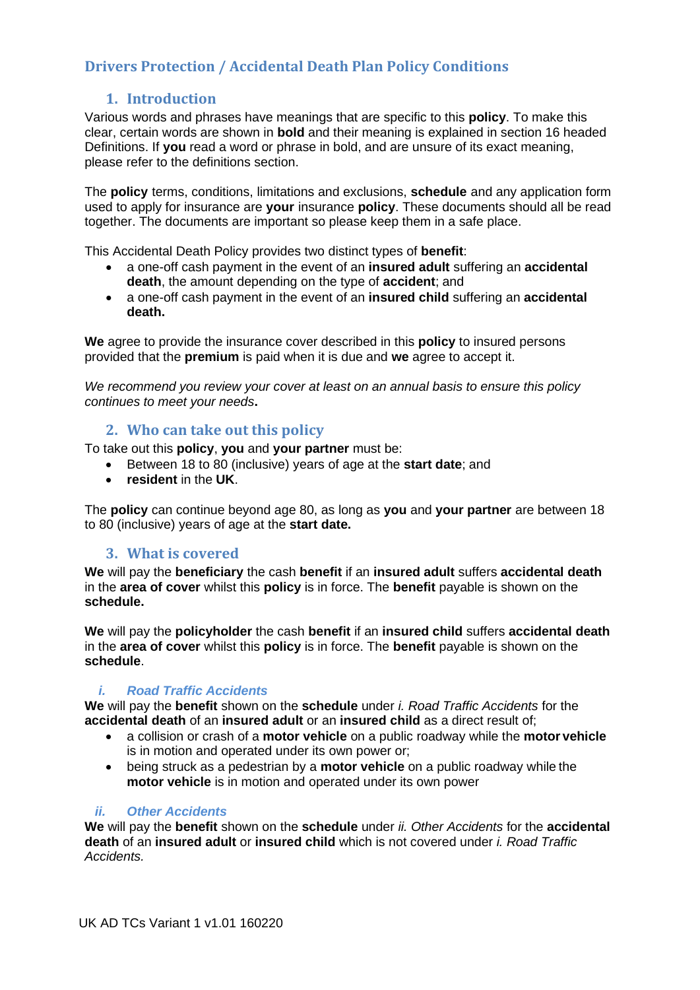# **Drivers Protection / Accidental Death Plan Policy Conditions**

# **1. Introduction**

Various words and phrases have meanings that are specific to this **policy**. To make this clear, certain words are shown in **bold** and their meaning is explained in section 16 headed Definitions. If **you** read a word or phrase in bold, and are unsure of its exact meaning, please refer to the definitions section.

The **policy** terms, conditions, limitations and exclusions, **schedule** and any application form used to apply for insurance are **your** insurance **policy**. These documents should all be read together. The documents are important so please keep them in a safe place.

This Accidental Death Policy provides two distinct types of **benefit**:

- a one-off cash payment in the event of an **insured adult** suffering an **accidental death**, the amount depending on the type of **accident**; and
- a one-off cash payment in the event of an **insured child** suffering an **accidental death.**

**We** agree to provide the insurance cover described in this **policy** to insured persons provided that the **premium** is paid when it is due and **we** agree to accept it.

*We recommend you review your cover at least on an annual basis to ensure this policy continues to meet your needs***.**

## **2. Who can take out this policy**

To take out this **policy**, **you** and **your partner** must be:

- Between 18 to 80 (inclusive) years of age at the **start date**; and
- **resident** in the **UK**.

The **policy** can continue beyond age 80, as long as **you** and **your partner** are between 18 to 80 (inclusive) years of age at the **start date.**

## **3. What is covered**

**We** will pay the **beneficiary** the cash **benefit** if an **insured adult** suffers **accidental death**  in the **area of cover** whilst this **policy** is in force. The **benefit** payable is shown on the **schedule.**

**We** will pay the **policyholder** the cash **benefit** if an **insured child** suffers **accidental death**  in the **area of cover** whilst this **policy** is in force. The **benefit** payable is shown on the **schedule**.

### *i. Road Traffic Accidents*

**We** will pay the **benefit** shown on the **schedule** under *i. Road Traffic Accidents* for the **accidental death** of an **insured adult** or an **insured child** as a direct result of;

- a collision or crash of a **motor vehicle** on a public roadway while the **motor vehicle** is in motion and operated under its own power or;
- being struck as a pedestrian by a **motor vehicle** on a public roadway while the **motor vehicle** is in motion and operated under its own power

### *ii. Other Accidents*

**We** will pay the **benefit** shown on the **schedule** under *ii. Other Accidents* for the **accidental death** of an **insured adult** or **insured child** which is not covered under *i. Road Traffic Accidents.*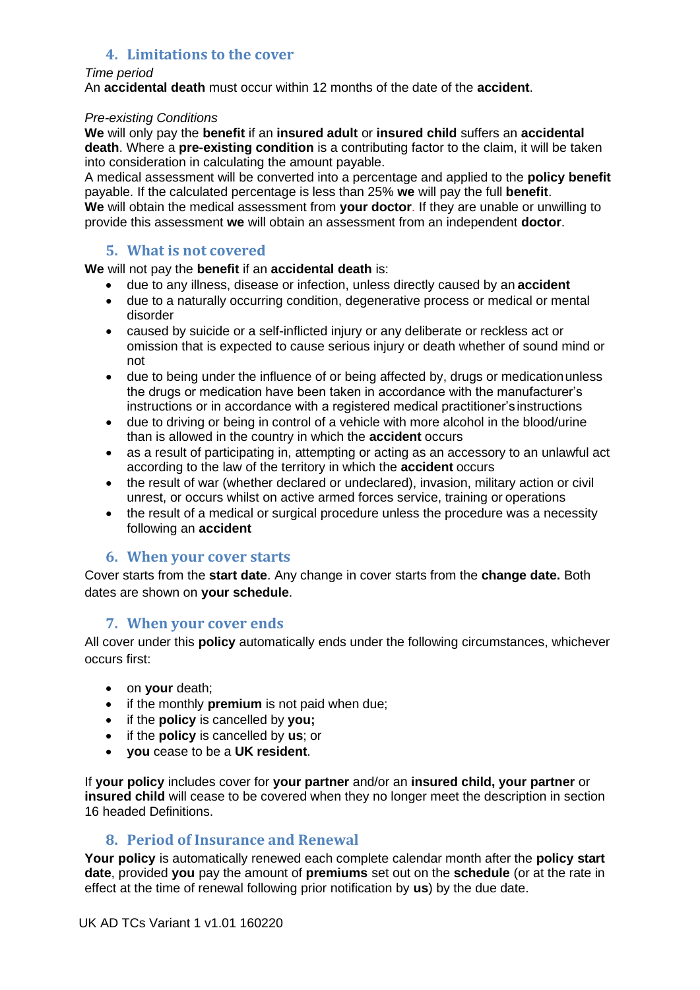# **4. Limitations to the cover**

#### *Time period*

An **accidental death** must occur within 12 months of the date of the **accident**.

### *Pre-existing Conditions*

**We** will only pay the **benefit** if an **insured adult** or **insured child** suffers an **accidental death**. Where a **pre-existing condition** is a contributing factor to the claim, it will be taken into consideration in calculating the amount payable.

A medical assessment will be converted into a percentage and applied to the **policy benefit** payable. If the calculated percentage is less than 25% **we** will pay the full **benefit**. **We** will obtain the medical assessment from **your doctor**. If they are unable or unwilling to provide this assessment **we** will obtain an assessment from an independent **doctor**.

### **5. What is not covered**

### **We** will not pay the **benefit** if an **accidental death** is:

- due to any illness, disease or infection, unless directly caused by an **accident**
- due to a naturally occurring condition, degenerative process or medical or mental disorder
- caused by suicide or a self-inflicted injury or any deliberate or reckless act or omission that is expected to cause serious injury or death whether of sound mind or not
- due to being under the influence of or being affected by, drugs or medicationunless the drugs or medication have been taken in accordance with the manufacturer's instructions or in accordance with a registered medical practitioner's instructions
- due to driving or being in control of a vehicle with more alcohol in the blood/urine than is allowed in the country in which the **accident** occurs
- as a result of participating in, attempting or acting as an accessory to an unlawful act according to the law of the territory in which the **accident** occurs
- the result of war (whether declared or undeclared), invasion, military action or civil unrest, or occurs whilst on active armed forces service, training or operations
- the result of a medical or surgical procedure unless the procedure was a necessity following an **accident**

## **6. When your cover starts**

Cover starts from the **start date**. Any change in cover starts from the **change date.** Both dates are shown on **your schedule**.

## **7. When your cover ends**

All cover under this **policy** automatically ends under the following circumstances, whichever occurs first:

- on **your** death;
- if the monthly **premium** is not paid when due;
- if the **policy** is cancelled by **you;**
- if the **policy** is cancelled by **us**; or
- **you** cease to be a **UK resident**.

If **your policy** includes cover for **your partner** and/or an **insured child, your partner** or **insured child** will cease to be covered when they no longer meet the description in section 16 headed Definitions.

## **8. Period of Insurance and Renewal**

**Your policy** is automatically renewed each complete calendar month after the **policy start date**, provided **you** pay the amount of **premiums** set out on the **schedule** (or at the rate in effect at the time of renewal following prior notification by **us**) by the due date.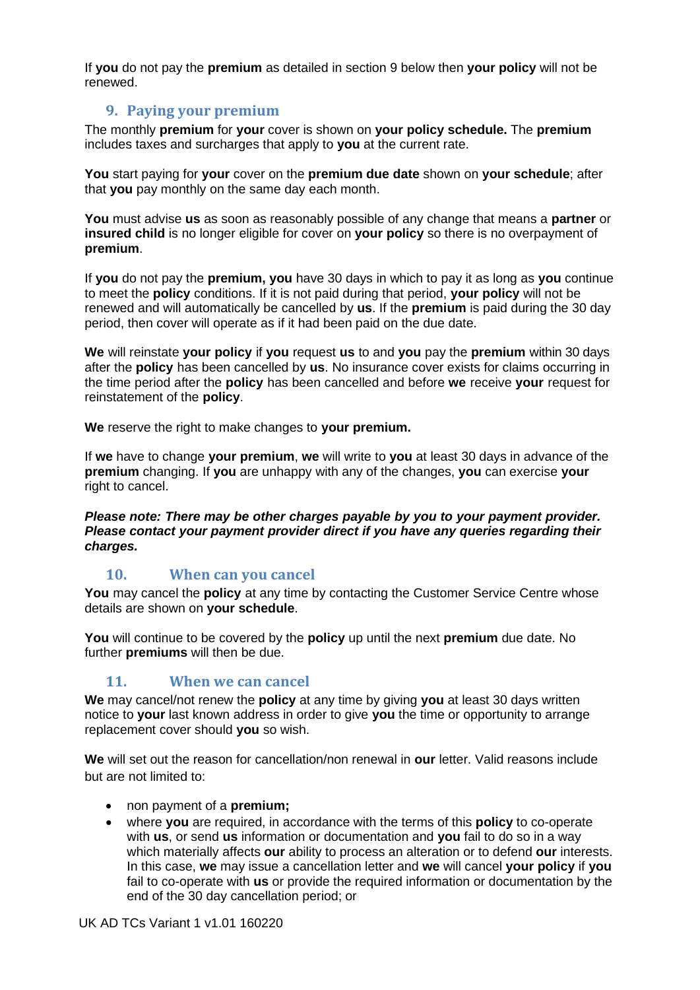If **you** do not pay the **premium** as detailed in section 9 below then **your policy** will not be renewed.

## **9. Paying your premium**

The monthly **premium** for **your** cover is shown on **your policy schedule.** The **premium** includes taxes and surcharges that apply to **you** at the current rate.

**You** start paying for **your** cover on the **premium due date** shown on **your schedule**; after that **you** pay monthly on the same day each month.

**You** must advise **us** as soon as reasonably possible of any change that means a **partner** or **insured child** is no longer eligible for cover on **your policy** so there is no overpayment of **premium**.

If **you** do not pay the **premium, you** have 30 days in which to pay it as long as **you** continue to meet the **policy** conditions. If it is not paid during that period, **your policy** will not be renewed and will automatically be cancelled by **us**. If the **premium** is paid during the 30 day period, then cover will operate as if it had been paid on the due date.

**We** will reinstate **your policy** if **you** request **us** to and **you** pay the **premium** within 30 days after the **policy** has been cancelled by **us**. No insurance cover exists for claims occurring in the time period after the **policy** has been cancelled and before **we** receive **your** request for reinstatement of the **policy**.

**We** reserve the right to make changes to **your premium.**

If **we** have to change **your premium**, **we** will write to **you** at least 30 days in advance of the **premium** changing. If **you** are unhappy with any of the changes, **you** can exercise **your**  right to cancel.

*Please note: There may be other charges payable by you to your payment provider. Please contact your payment provider direct if you have any queries regarding their charges.*

# **10. When can you cancel**

**You** may cancel the **policy** at any time by contacting the Customer Service Centre whose details are shown on **your schedule**.

**You** will continue to be covered by the **policy** up until the next **premium** due date. No further **premiums** will then be due.

# **11. When we can cancel**

**We** may cancel/not renew the **policy** at any time by giving **you** at least 30 days written notice to **your** last known address in order to give **you** the time or opportunity to arrange replacement cover should **you** so wish.

**We** will set out the reason for cancellation/non renewal in **our** letter. Valid reasons include but are not limited to:

- non payment of a **premium;**
- where **you** are required, in accordance with the terms of this **policy** to co-operate with **us**, or send **us** information or documentation and **you** fail to do so in a way which materially affects **our** ability to process an alteration or to defend **our** interests. In this case, **we** may issue a cancellation letter and **we** will cancel **your policy** if **you**  fail to co-operate with **us** or provide the required information or documentation by the end of the 30 day cancellation period; or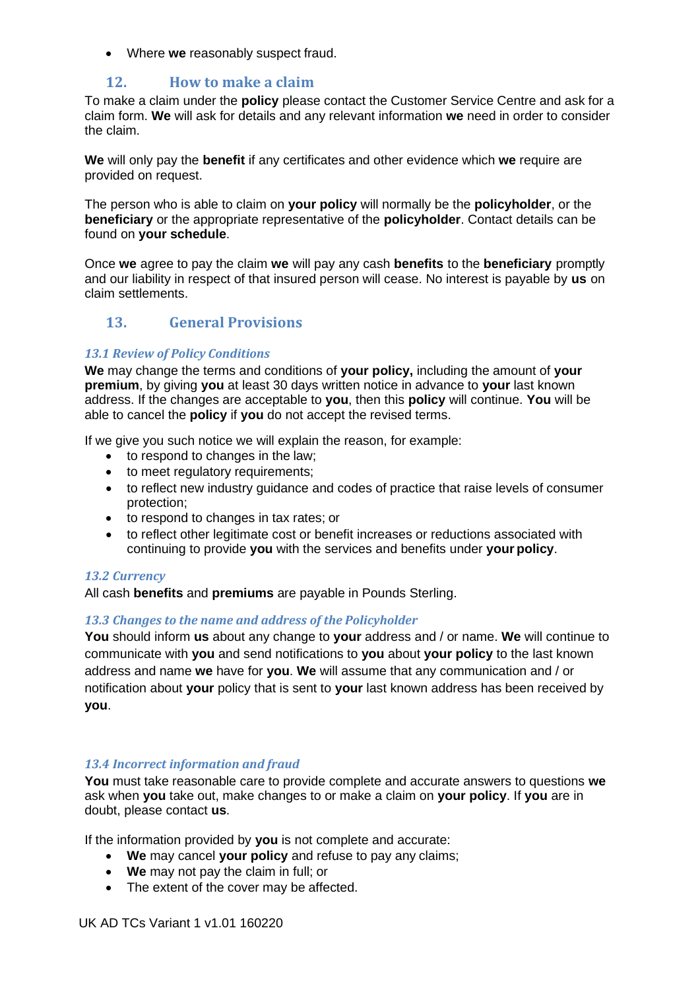• Where **we** reasonably suspect fraud.

## **12. How to make a claim**

To make a claim under the **policy** please contact the Customer Service Centre and ask for a claim form. **We** will ask for details and any relevant information **we** need in order to consider the claim.

**We** will only pay the **benefit** if any certificates and other evidence which **we** require are provided on request.

The person who is able to claim on **your policy** will normally be the **policyholder**, or the **beneficiary** or the appropriate representative of the **policyholder**. Contact details can be found on **your schedule**.

Once **we** agree to pay the claim **we** will pay any cash **benefits** to the **beneficiary** promptly and our liability in respect of that insured person will cease. No interest is payable by **us** on claim settlements.

# **13. General Provisions**

#### *13.1 Review of Policy Conditions*

**We** may change the terms and conditions of **your policy,** including the amount of **your premium**, by giving **you** at least 30 days written notice in advance to **your** last known address. If the changes are acceptable to **you**, then this **policy** will continue. **You** will be able to cancel the **policy** if **you** do not accept the revised terms.

If we give you such notice we will explain the reason, for example:

- to respond to changes in the law;
- to meet regulatory requirements;
- to reflect new industry guidance and codes of practice that raise levels of consumer protection;
- to respond to changes in tax rates; or
- to reflect other legitimate cost or benefit increases or reductions associated with continuing to provide **you** with the services and benefits under **your policy**.

#### *13.2 Currency*

All cash **benefits** and **premiums** are payable in Pounds Sterling.

#### *13.3 Changes to the name and address of the Policyholder*

**You** should inform **us** about any change to **your** address and / or name. **We** will continue to communicate with **you** and send notifications to **you** about **your policy** to the last known address and name **we** have for **you**. **We** will assume that any communication and / or notification about **your** policy that is sent to **your** last known address has been received by **you**.

#### *13.4 Incorrect information and fraud*

**You** must take reasonable care to provide complete and accurate answers to questions **we**  ask when **you** take out, make changes to or make a claim on **your policy**. If **you** are in doubt, please contact **us**.

If the information provided by **you** is not complete and accurate:

- **We** may cancel **your policy** and refuse to pay any claims;
- **We** may not pay the claim in full; or
- The extent of the cover may be affected.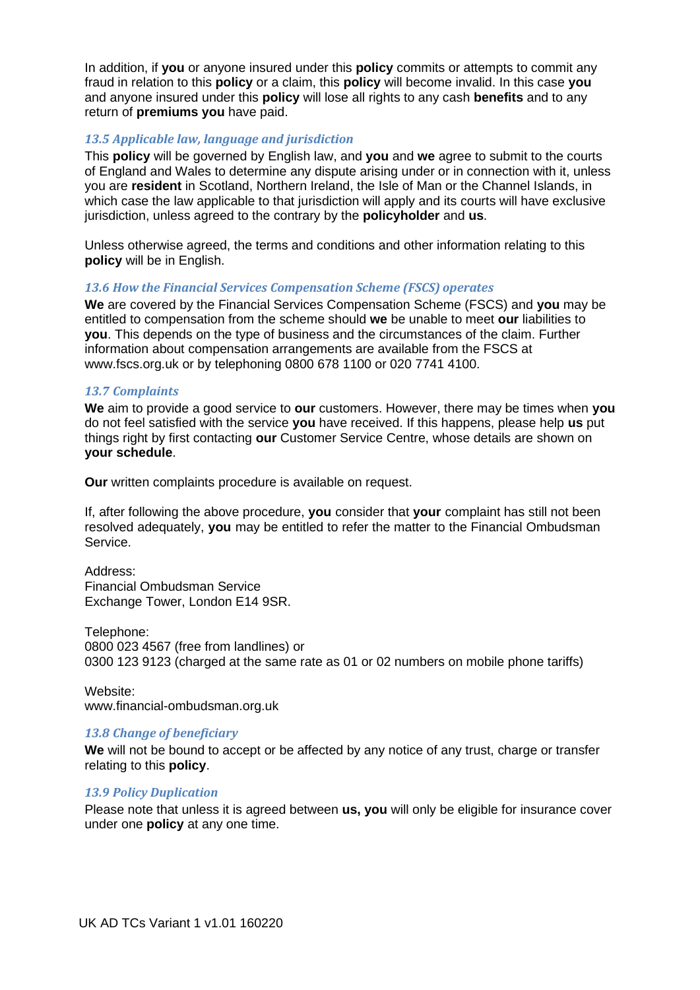In addition, if **you** or anyone insured under this **policy** commits or attempts to commit any fraud in relation to this **policy** or a claim, this **policy** will become invalid. In this case **you**  and anyone insured under this **policy** will lose all rights to any cash **benefits** and to any return of **premiums you** have paid.

### *13.5 Applicable law, language and jurisdiction*

This **policy** will be governed by English law, and **you** and **we** agree to submit to the courts of England and Wales to determine any dispute arising under or in connection with it, unless you are **resident** in Scotland, Northern Ireland, the Isle of Man or the Channel Islands, in which case the law applicable to that jurisdiction will apply and its courts will have exclusive jurisdiction, unless agreed to the contrary by the **policyholder** and **us**.

Unless otherwise agreed, the terms and conditions and other information relating to this **policy** will be in English.

### *13.6 How the Financial Services Compensation Scheme (FSCS) operates*

**We** are covered by the Financial Services Compensation Scheme (FSCS) and **you** may be entitled to compensation from the scheme should **we** be unable to meet **our** liabilities to **you**. This depends on the type of business and the circumstances of the claim. Further information about compensation arrangements are available from the FSCS at [www.fscs.org.uk o](http://www.fscs.org.uk/)r by telephoning 0800 678 1100 or 020 7741 4100.

#### *13.7 Complaints*

**We** aim to provide a good service to **our** customers. However, there may be times when **you**  do not feel satisfied with the service **you** have received. If this happens, please help **us** put things right by first contacting **our** Customer Service Centre, whose details are shown on **your schedule**.

**Our** written complaints procedure is available on request.

If, after following the above procedure, **you** consider that **your** complaint has still not been resolved adequately, **you** may be entitled to refer the matter to the Financial Ombudsman Service.

Address: Financial Ombudsman Service Exchange Tower, London E14 9SR.

Telephone: 0800 023 4567 (free from landlines) or 0300 123 9123 (charged at the same rate as 01 or 02 numbers on mobile phone tariffs)

Website: [www.financial-ombudsman.org.uk](http://www.financial-ombudsman.org.uk/)

#### *13.8 Change of beneficiary*

**We** will not be bound to accept or be affected by any notice of any trust, charge or transfer relating to this **policy**.

#### *13.9 Policy Duplication*

Please note that unless it is agreed between **us, you** will only be eligible for insurance cover under one **policy** at any one time.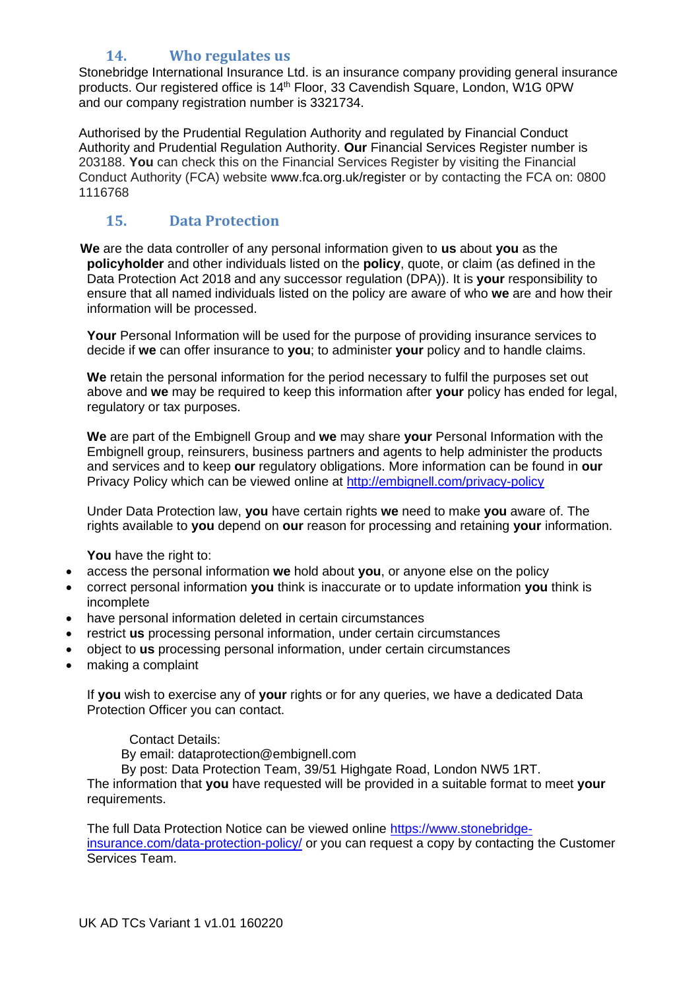# **14. Who regulates us**

Stonebridge International Insurance Ltd. is an insurance company providing general insurance products. Our registered office is 14th Floor, 33 Cavendish Square, London, W1G 0PW and our company registration number is 3321734.

Authorised by the Prudential Regulation Authority and regulated by Financial Conduct Authority and Prudential Regulation Authority. **Our** Financial Services Register number is 203188. **You** can check this on the Financial Services Register by visiting the Financial Conduct Authority (FCA) website [www.fca.org.uk/register o](http://www.fca.org.uk/register)r by contacting the FCA on: 0800 1116768

# **15. Data Protection**

 **We** are the data controller of any personal information given to **us** about **you** as the **policyholder** and other individuals listed on the **policy**, quote, or claim (as defined in the Data Protection Act 2018 and any successor regulation (DPA)). It is **your** responsibility to ensure that all named individuals listed on the policy are aware of who **we** are and how their information will be processed.

**Your** Personal Information will be used for the purpose of providing insurance services to decide if **we** can offer insurance to **you**; to administer **your** policy and to handle claims.

**We** retain the personal information for the period necessary to fulfil the purposes set out above and **we** may be required to keep this information after **your** policy has ended for legal, regulatory or tax purposes.

**We** are part of the Embignell Group and **we** may share **your** Personal Information with the Embignell group, reinsurers, business partners and agents to help administer the products and services and to keep **our** regulatory obligations. More information can be found in **our** Privacy Policy which can be viewed online at<http://embignell.com/privacy-policy>

Under Data Protection law, **you** have certain rights **we** need to make **you** aware of. The rights available to **you** depend on **our** reason for processing and retaining **your** information.

**You** have the right to:

- access the personal information **we** hold about **you**, or anyone else on the policy
- correct personal information **you** think is inaccurate or to update information **you** think is incomplete
- have personal information deleted in certain circumstances
- restrict **us** processing personal information, under certain circumstances
- object to **us** processing personal information, under certain circumstances
- making a complaint

If **you** wish to exercise any of **your** rights or for any queries, we have a dedicated Data Protection Officer you can contact.

Contact Details:

By email: dataprotection@embignell.com

By post: Data Protection Team, 39/51 Highgate Road, London NW5 1RT. The information that **you** have requested will be provided in a suitable format to meet **your**  requirements.

The full Data Protection Notice can be viewed online [https://www.stonebridge](https://www.stonebridge-insurance.com/data-protection-policy/)[insurance.com/data-protection-policy/](https://www.stonebridge-insurance.com/data-protection-policy/) or you can request a copy by contacting the Customer Services Team.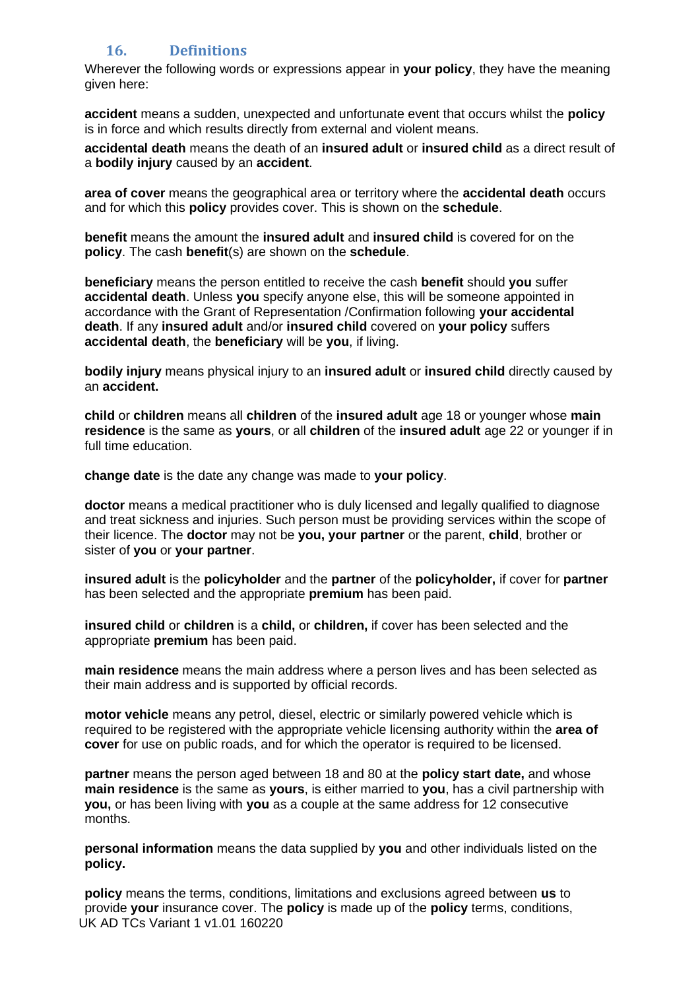# **16. Definitions**

Wherever the following words or expressions appear in **your policy**, they have the meaning given here:

**accident** means a sudden, unexpected and unfortunate event that occurs whilst the **policy** is in force and which results directly from external and violent means.

**accidental death** means the death of an **insured adult** or **insured child** as a direct result of a **bodily injury** caused by an **accident**.

**area of cover** means the geographical area or territory where the **accidental death** occurs and for which this **policy** provides cover. This is shown on the **schedule**.

**benefit** means the amount the **insured adult** and **insured child** is covered for on the **policy**. The cash **benefit**(s) are shown on the **schedule**.

**beneficiary** means the person entitled to receive the cash **benefit** should **you** suffer **accidental death**. Unless **you** specify anyone else, this will be someone appointed in accordance with the Grant of Representation /Confirmation following **your accidental death**. If any **insured adult** and/or **insured child** covered on **your policy** suffers **accidental death**, the **beneficiary** will be **you**, if living.

**bodily injury** means physical injury to an **insured adult** or **insured child** directly caused by an **accident.**

**child** or **children** means all **children** of the **insured adult** age 18 or younger whose **main residence** is the same as **yours**, or all **children** of the **insured adult** age 22 or younger if in full time education.

**change date** is the date any change was made to **your policy**.

**doctor** means a medical practitioner who is duly licensed and legally qualified to diagnose and treat sickness and injuries. Such person must be providing services within the scope of their licence. The **doctor** may not be **you, your partner** or the parent, **child**, brother or sister of **you** or **your partner**.

**insured adult** is the **policyholder** and the **partner** of the **policyholder,** if cover for **partner** has been selected and the appropriate **premium** has been paid.

**insured child** or **children** is a **child,** or **children,** if cover has been selected and the appropriate **premium** has been paid.

**main residence** means the main address where a person lives and has been selected as their main address and is supported by official records.

**motor vehicle** means any petrol, diesel, electric or similarly powered vehicle which is required to be registered with the appropriate vehicle licensing authority within the **area of cover** for use on public roads, and for which the operator is required to be licensed.

**partner** means the person aged between 18 and 80 at the **policy start date,** and whose **main residence** is the same as **yours**, is either married to **you**, has a civil partnership with **you,** or has been living with **you** as a couple at the same address for 12 consecutive months.

**personal information** means the data supplied by **you** and other individuals listed on the **policy.**

UK AD TCs Variant 1 v1.01 160220 **policy** means the terms, conditions, limitations and exclusions agreed between **us** to provide **your** insurance cover. The **policy** is made up of the **policy** terms, conditions,